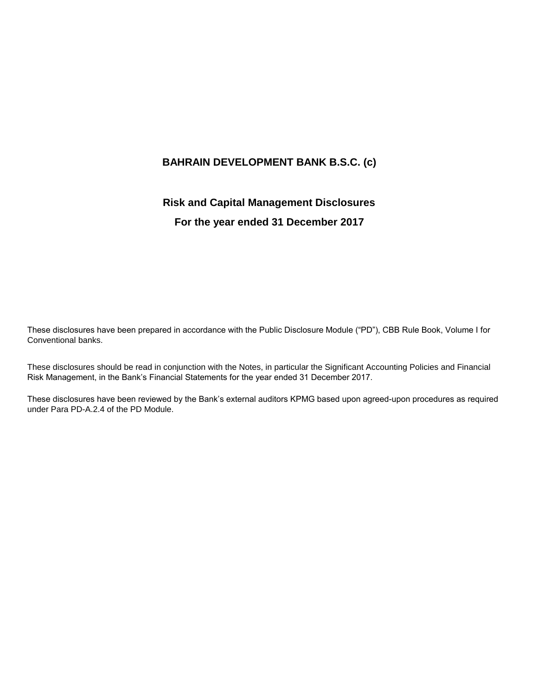# **BAHRAIN DEVELOPMENT BANK B.S.C. (c)**

# **Risk and Capital Management Disclosures**

# **For the year ended 31 December 2017**

These disclosures have been prepared in accordance with the Public Disclosure Module ("PD"), CBB Rule Book, Volume I for Conventional banks.

These disclosures should be read in conjunction with the Notes, in particular the Significant Accounting Policies and Financial Risk Management, in the Bank's Financial Statements for the year ended 31 December 2017.

These disclosures have been reviewed by the Bank's external auditors KPMG based upon agreed-upon procedures as required under Para PD-A.2.4 of the PD Module.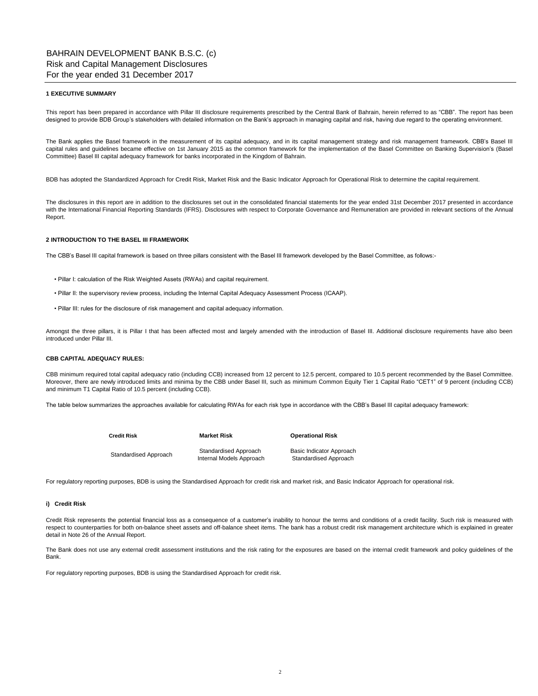#### **1 EXECUTIVE SUMMARY**

This report has been prepared in accordance with Pillar III disclosure requirements prescribed by the Central Bank of Bahrain, herein referred to as "CBB". The report has been designed to provide BDB Group's stakeholders with detailed information on the Bank's approach in managing capital and risk, having due regard to the operating environment.

The Bank applies the Basel framework in the measurement of its capital adequacy, and in its capital management strategy and risk management framework. CBB's Basel III capital rules and guidelines became effective on 1st January 2015 as the common framework for the implementation of the Basel Committee on Banking Supervision's (Basel Committee) Basel III capital adequacy framework for banks incorporated in the Kingdom of Bahrain.

BDB has adopted the Standardized Approach for Credit Risk, Market Risk and the Basic Indicator Approach for Operational Risk to determine the capital requirement.

The disclosures in this report are in addition to the disclosures set out in the consolidated financial statements for the year ended 31st December 2017 presented in accordance with the International Financial Reporting Standards (IFRS). Disclosures with respect to Corporate Governance and Remuneration are provided in relevant sections of the Annual Report.

#### **2 INTRODUCTION TO THE BASEL III FRAMEWORK**

The CBB's Basel III capital framework is based on three pillars consistent with the Basel III framework developed by the Basel Committee, as follows:-

- Pillar I: calculation of the Risk Weighted Assets (RWAs) and capital requirement.
- Pillar II: the supervisory review process, including the Internal Capital Adequacy Assessment Process (ICAAP).
- Pillar III: rules for the disclosure of risk management and capital adequacy information.

Amongst the three pillars, it is Pillar I that has been affected most and largely amended with the introduction of Basel III. Additional disclosure requirements have also been introduced under Pillar III.

#### **CBB CAPITAL ADEQUACY RULES:**

CBB minimum required total capital adequacy ratio (including CCB) increased from 12 percent to 12.5 percent, compared to 10.5 percent recommended by the Basel Committee. Moreover, there are newly introduced limits and minima by the CBB under Basel III, such as minimum Common Equity Tier 1 Capital Ratio "CET1" of 9 percent (including CCB) and minimum T1 Capital Ratio of 10.5 percent (including CCB).

The table below summarizes the approaches available for calculating RWAs for each risk type in accordance with the CBB's Basel III capital adequacy framework:

| Credit Risk           | <b>Market Risk</b>                                | <b>Operational Risk</b>                           |  |  |
|-----------------------|---------------------------------------------------|---------------------------------------------------|--|--|
| Standardised Approach | Standardised Approach<br>Internal Models Approach | Basic Indicator Approach<br>Standardised Approach |  |  |

For regulatory reporting purposes, BDB is using the Standardised Approach for credit risk and market risk, and Basic Indicator Approach for operational risk.

#### **i) Credit Risk**

Credit Risk represents the potential financial loss as a consequence of a customer's inability to honour the terms and conditions of a credit facility. Such risk is measured with respect to counterparties for both on-balance sheet assets and off-balance sheet items. The bank has a robust credit risk management architecture which is explained in greater detail in Note 26 of the Annual Report.

The Bank does not use any external credit assessment institutions and the risk rating for the exposures are based on the internal credit framework and policy guidelines of the Bank.

For regulatory reporting purposes, BDB is using the Standardised Approach for credit risk.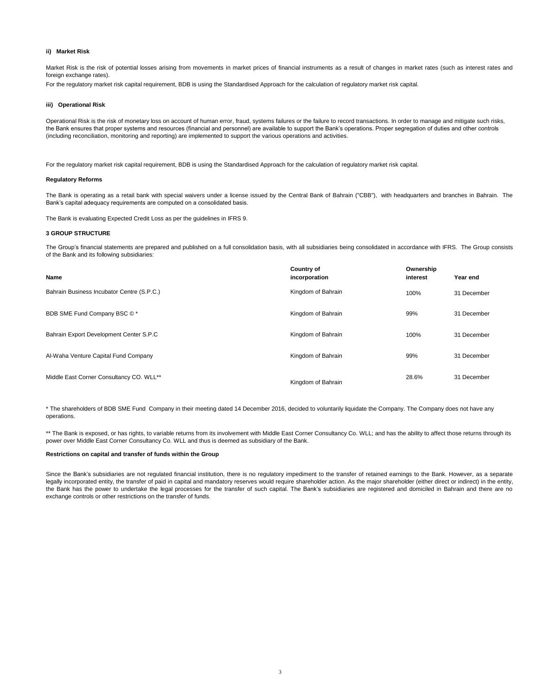#### **ii) Market Risk**

Market Risk is the risk of potential losses arising from movements in market prices of financial instruments as a result of changes in market rates (such as interest rates and foreign exchange rates).

For the regulatory market risk capital requirement, BDB is using the Standardised Approach for the calculation of regulatory market risk capital.

#### **iii) Operational Risk**

Operational Risk is the risk of monetary loss on account of human error, fraud, systems failures or the failure to record transactions. In order to manage and mitigate such risks, the Bank ensures that proper systems and resources (financial and personnel) are available to support the Bank's operations. Proper segregation of duties and other controls (including reconciliation, monitoring and reporting) are implemented to support the various operations and activities.

For the regulatory market risk capital requirement, BDB is using the Standardised Approach for the calculation of regulatory market risk capital.

#### **Regulatory Reforms**

The Bank is operating as a retail bank with special waivers under a license issued by the Central Bank of Bahrain ("CBB"), with headquarters and branches in Bahrain. The Bank's capital adequacy requirements are computed on a consolidated basis.

The Bank is evaluating Expected Credit Loss as per the guidelines in IFRS 9.

#### **3 GROUP STRUCTURE**

The Group's financial statements are prepared and published on a full consolidation basis, with all subsidiaries being consolidated in accordance with IFRS. The Group consists of the Bank and its following subsidiaries:

| Name                                       | <b>Country of</b><br>incorporation | Ownership<br>interest | Year end    |
|--------------------------------------------|------------------------------------|-----------------------|-------------|
| Bahrain Business Incubator Centre (S.P.C.) | Kingdom of Bahrain                 | 100%                  | 31 December |
| BDB SME Fund Company BSC ©*                | Kingdom of Bahrain                 | 99%                   | 31 December |
| Bahrain Export Development Center S.P.C    | Kingdom of Bahrain                 | 100%                  | 31 December |
| Al-Waha Venture Capital Fund Company       | Kingdom of Bahrain                 | 99%                   | 31 December |
| Middle East Corner Consultancy CO. WLL**   | Kingdom of Bahrain                 | 28.6%                 | 31 December |

\* The shareholders of BDB SME Fund Company in their meeting dated 14 December 2016, decided to voluntarily liquidate the Company. The Company does not have any operations.

\*\* The Bank is exposed, or has rights, to variable returns from its involvement with Middle East Corner Consultancy Co. WLL; and has the ability to affect those returns through its power over Middle East Corner Consultancy Co. WLL and thus is deemed as subsidiary of the Bank.

#### **Restrictions on capital and transfer of funds within the Group**

Since the Bank's subsidiaries are not regulated financial institution, there is no regulatory impediment to the transfer of retained earnings to the Bank. However, as a separate legally incorporated entity, the transfer of paid in capital and mandatory reserves would require shareholder action. As the major shareholder (either direct or indirect) in the entity, the Bank has the power to undertake the legal processes for the transfer of such capital. The Bank's subsidiaries are registered and domiciled in Bahrain and there are no exchange controls or other restrictions on the transfer of funds.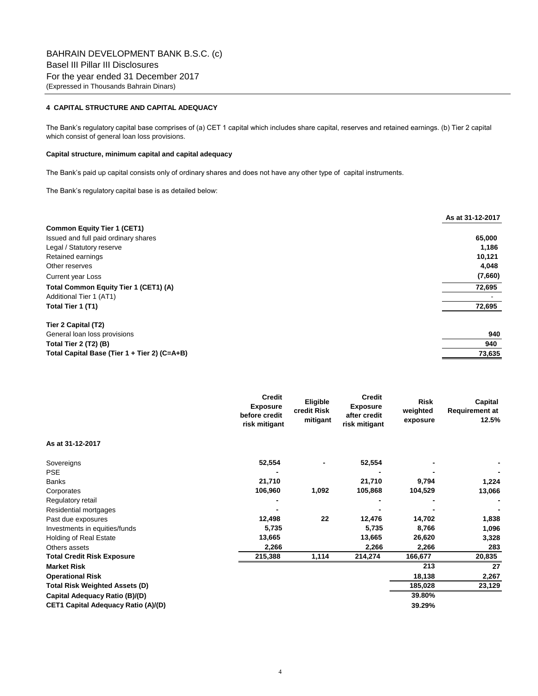## **4 CAPITAL STRUCTURE AND CAPITAL ADEQUACY**

The Bank's regulatory capital base comprises of (a) CET 1 capital which includes share capital, reserves and retained earnings. (b) Tier 2 capital which consist of general loan loss provisions.

#### **Capital structure, minimum capital and capital adequacy**

The Bank's paid up capital consists only of ordinary shares and does not have any other type of capital instruments.

The Bank's regulatory capital base is as detailed below:

|                                              | As at 31-12-2017 |
|----------------------------------------------|------------------|
| <b>Common Equity Tier 1 (CET1)</b>           |                  |
| Issued and full paid ordinary shares         | 65,000           |
| Legal / Statutory reserve                    | 1,186            |
| Retained earnings                            | 10,121           |
| Other reserves                               | 4,048            |
| <b>Current year Loss</b>                     | (7,660)          |
| Total Common Equity Tier 1 (CET1) (A)        | 72,695           |
| Additional Tier 1 (AT1)                      |                  |
| Total Tier 1 (T1)                            | 72,695           |
| Tier 2 Capital (T2)                          |                  |
| General loan loss provisions                 | 940              |
| Total Tier 2 (T2) (B)                        | 940              |
| Total Capital Base (Tier 1 + Tier 2) (C=A+B) | 73,635           |

|                                       | <b>Credit</b><br><b>Exposure</b><br>before credit<br>risk mitigant | Eligible<br>credit Risk<br>mitigant | <b>Credit</b><br><b>Exposure</b><br>after credit<br>risk mitigant | <b>Risk</b><br>weighted<br>exposure | Capital<br><b>Requirement at</b><br>12.5% |
|---------------------------------------|--------------------------------------------------------------------|-------------------------------------|-------------------------------------------------------------------|-------------------------------------|-------------------------------------------|
| As at 31-12-2017                      |                                                                    |                                     |                                                                   |                                     |                                           |
| Sovereigns                            | 52,554                                                             |                                     | 52,554                                                            |                                     |                                           |
| <b>PSE</b>                            |                                                                    |                                     |                                                                   |                                     |                                           |
| <b>Banks</b>                          | 21,710                                                             |                                     | 21,710                                                            | 9,794                               | 1,224                                     |
| Corporates                            | 106,960                                                            | 1,092                               | 105,868                                                           | 104,529                             | 13,066                                    |
| Regulatory retail                     |                                                                    |                                     |                                                                   |                                     |                                           |
| Residential mortgages                 |                                                                    |                                     |                                                                   |                                     |                                           |
| Past due exposures                    | 12,498                                                             | 22                                  | 12,476                                                            | 14,702                              | 1,838                                     |
| Investments in equities/funds         | 5,735                                                              |                                     | 5,735                                                             | 8,766                               | 1,096                                     |
| Holding of Real Estate                | 13,665                                                             |                                     | 13,665                                                            | 26,620                              | 3,328                                     |
| Others assets                         | 2,266                                                              |                                     | 2,266                                                             | 2,266                               | 283                                       |
| <b>Total Credit Risk Exposure</b>     | 215,388                                                            | 1,114                               | 214,274                                                           | 166,677                             | 20,835                                    |
| <b>Market Risk</b>                    |                                                                    |                                     |                                                                   | 213                                 | 27                                        |
| <b>Operational Risk</b>               |                                                                    |                                     |                                                                   | 18,138                              | 2,267                                     |
| <b>Total Risk Weighted Assets (D)</b> |                                                                    |                                     |                                                                   | 185,028                             | 23,129                                    |
| Capital Adequacy Ratio (B)/(D)        |                                                                    |                                     |                                                                   | 39.80%                              |                                           |
| CET1 Capital Adequacy Ratio (A)/(D)   |                                                                    |                                     |                                                                   | 39.29%                              |                                           |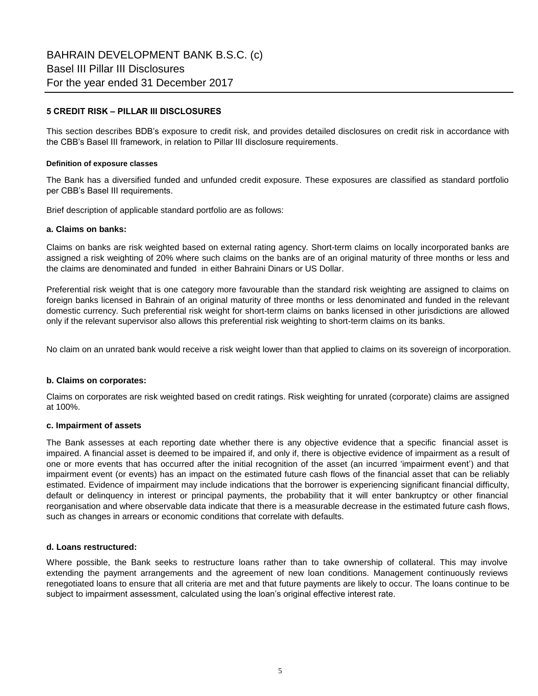## **5 CREDIT RISK – PILLAR III DISCLOSURES**

This section describes BDB's exposure to credit risk, and provides detailed disclosures on credit risk in accordance with the CBB's Basel III framework, in relation to Pillar III disclosure requirements.

## **Definition of exposure classes**

The Bank has a diversified funded and unfunded credit exposure. These exposures are classified as standard portfolio per CBB's Basel III requirements.

Brief description of applicable standard portfolio are as follows:

## **a. Claims on banks:**

Claims on banks are risk weighted based on external rating agency. Short-term claims on locally incorporated banks are assigned a risk weighting of 20% where such claims on the banks are of an original maturity of three months or less and the claims are denominated and funded in either Bahraini Dinars or US Dollar.

Preferential risk weight that is one category more favourable than the standard risk weighting are assigned to claims on foreign banks licensed in Bahrain of an original maturity of three months or less denominated and funded in the relevant domestic currency. Such preferential risk weight for short-term claims on banks licensed in other jurisdictions are allowed only if the relevant supervisor also allows this preferential risk weighting to short-term claims on its banks.

No claim on an unrated bank would receive a risk weight lower than that applied to claims on its sovereign of incorporation.

## **b. Claims on corporates:**

Claims on corporates are risk weighted based on credit ratings. Risk weighting for unrated (corporate) claims are assigned at 100%.

## **c. Impairment of assets**

The Bank assesses at each reporting date whether there is any objective evidence that a specific financial asset is impaired. A financial asset is deemed to be impaired if, and only if, there is objective evidence of impairment as a result of one or more events that has occurred after the initial recognition of the asset (an incurred 'impairment event') and that impairment event (or events) has an impact on the estimated future cash flows of the financial asset that can be reliably estimated. Evidence of impairment may include indications that the borrower is experiencing significant financial difficulty, default or delinquency in interest or principal payments, the probability that it will enter bankruptcy or other financial reorganisation and where observable data indicate that there is a measurable decrease in the estimated future cash flows, such as changes in arrears or economic conditions that correlate with defaults.

## **d. Loans restructured:**

Where possible, the Bank seeks to restructure loans rather than to take ownership of collateral. This may involve extending the payment arrangements and the agreement of new loan conditions. Management continuously reviews renegotiated loans to ensure that all criteria are met and that future payments are likely to occur. The loans continue to be subject to impairment assessment, calculated using the loan's original effective interest rate.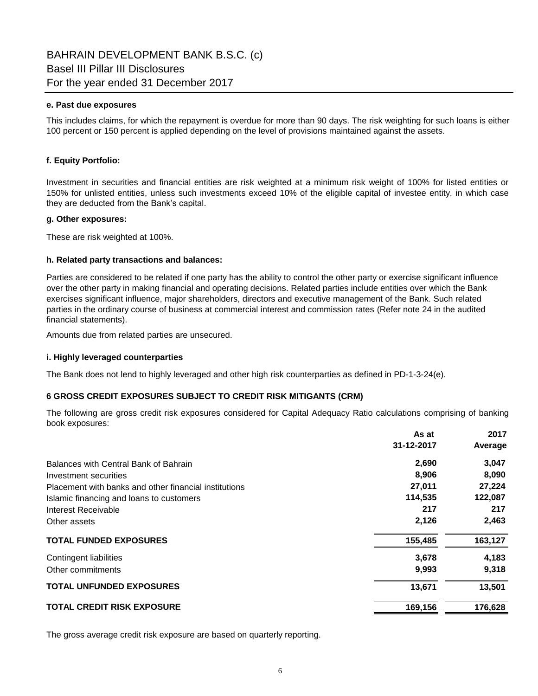## **e. Past due exposures**

This includes claims, for which the repayment is overdue for more than 90 days. The risk weighting for such loans is either 100 percent or 150 percent is applied depending on the level of provisions maintained against the assets.

## **f. Equity Portfolio:**

Investment in securities and financial entities are risk weighted at a minimum risk weight of 100% for listed entities or 150% for unlisted entities, unless such investments exceed 10% of the eligible capital of investee entity, in which case they are deducted from the Bank's capital.

## **g. Other exposures:**

These are risk weighted at 100%.

## **h. Related party transactions and balances:**

Parties are considered to be related if one party has the ability to control the other party or exercise significant influence over the other party in making financial and operating decisions. Related parties include entities over which the Bank exercises significant influence, major shareholders, directors and executive management of the Bank. Such related parties in the ordinary course of business at commercial interest and commission rates (Refer note 24 in the audited financial statements).

Amounts due from related parties are unsecured.

## **i. Highly leveraged counterparties**

The Bank does not lend to highly leveraged and other high risk counterparties as defined in PD-1-3-24(e).

## **6 GROSS CREDIT EXPOSURES SUBJECT TO CREDIT RISK MITIGANTS (CRM)**

The following are gross credit risk exposures considered for Capital Adequacy Ratio calculations comprising of banking book exposures:

| As at                                                           | 2017    |
|-----------------------------------------------------------------|---------|
| 31-12-2017                                                      | Average |
| 2,690<br>Balances with Central Bank of Bahrain                  | 3,047   |
| 8,906<br>Investment securities                                  | 8,090   |
| 27,011<br>Placement with banks and other financial institutions | 27,224  |
| 114,535<br>Islamic financing and loans to customers             | 122,087 |
| 217<br>Interest Receivable                                      | 217     |
| 2,126<br>Other assets                                           | 2,463   |
| <b>TOTAL FUNDED EXPOSURES</b><br>155,485                        | 163,127 |
| 3.678<br>Contingent liabilities                                 | 4,183   |
| 9,993<br>Other commitments                                      | 9,318   |
| <b>TOTAL UNFUNDED EXPOSURES</b><br>13,671                       | 13,501  |
| <b>TOTAL CREDIT RISK EXPOSURE</b><br>169,156                    | 176,628 |

The gross average credit risk exposure are based on quarterly reporting.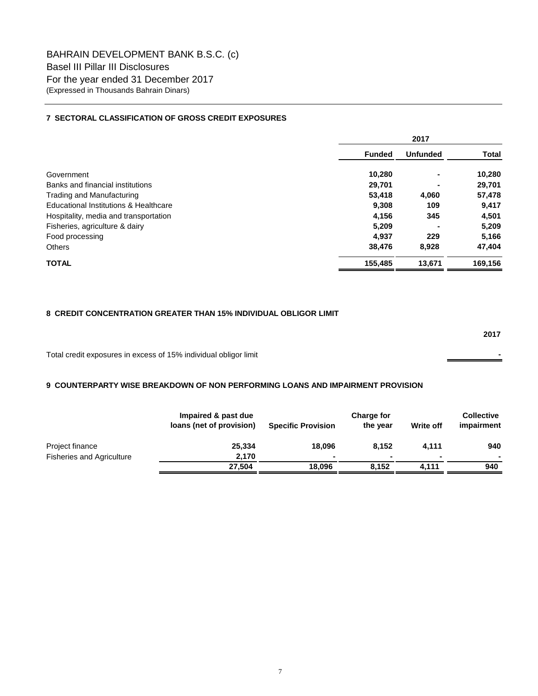## **7 SECTORAL CLASSIFICATION OF GROSS CREDIT EXPOSURES**

|                                       | 2017          |                 |         |  |
|---------------------------------------|---------------|-----------------|---------|--|
|                                       | <b>Funded</b> | <b>Unfunded</b> | Total   |  |
| Government                            | 10.280        | ۰               | 10,280  |  |
| Banks and financial institutions      | 29,701        | ۰               | 29,701  |  |
| Trading and Manufacturing             | 53,418        | 4,060           | 57,478  |  |
| Educational Institutions & Healthcare | 9,308         | 109             | 9,417   |  |
| Hospitality, media and transportation | 4,156         | 345             | 4,501   |  |
| Fisheries, agriculture & dairy        | 5,209         |                 | 5,209   |  |
| Food processing                       | 4,937         | 229             | 5,166   |  |
| <b>Others</b>                         | 38,476        | 8,928           | 47,404  |  |
| <b>TOTAL</b>                          | 155,485       | 13,671          | 169,156 |  |

## **8 CREDIT CONCENTRATION GREATER THAN 15% INDIVIDUAL OBLIGOR LIMIT**

|                                                                  | 2017 |
|------------------------------------------------------------------|------|
| Total credit exposures in excess of 15% individual obligor limit |      |

## **9 COUNTERPARTY WISE BREAKDOWN OF NON PERFORMING LOANS AND IMPAIRMENT PROVISION**

|                                  | Impaired & past due<br>loans (net of provision) | <b>Specific Provision</b> | <b>Charge for</b><br>the year | Write off | <b>Collective</b><br>impairment |
|----------------------------------|-------------------------------------------------|---------------------------|-------------------------------|-----------|---------------------------------|
| Project finance                  | 25,334                                          | 18.096                    | 8.152                         | 4.111     | 940                             |
| <b>Fisheries and Agriculture</b> | 2.170                                           |                           | $\blacksquare$                | ٠         | $\overline{\phantom{a}}$        |
|                                  | 27.504                                          | 18.096                    | 8.152                         | 4.111     | 940                             |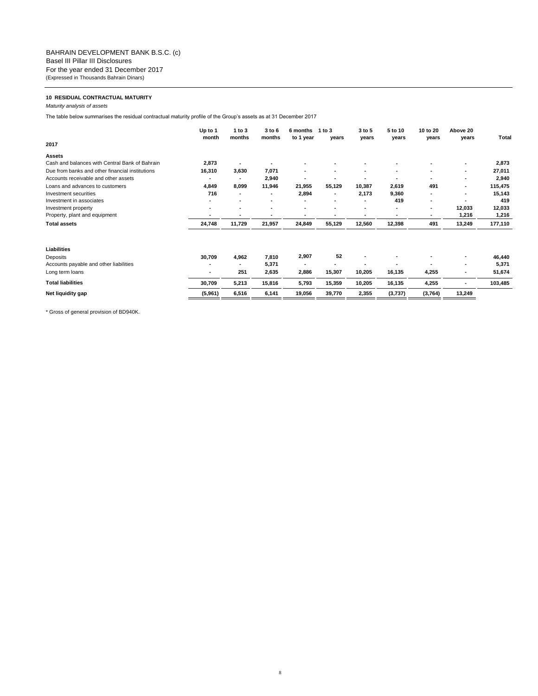#### **10 RESIDUAL CONTRACTUAL MATURITY**

*Maturity analysis of assets*

The table below summarises the residual contractual maturity profile of the Group's assets as at 31 December 2017

|                                                 | Up to 1<br>month         | 1 to $3$<br>months | 3 to 6<br>months | 6 months<br>to 1 year    | 1 to 3<br>years          | 3 to 5<br>years | 5 to 10<br>years | 10 to 20<br>years        | Above 20<br>years | Total   |
|-------------------------------------------------|--------------------------|--------------------|------------------|--------------------------|--------------------------|-----------------|------------------|--------------------------|-------------------|---------|
| 2017                                            |                          |                    |                  |                          |                          |                 |                  |                          |                   |         |
| <b>Assets</b>                                   |                          |                    |                  |                          |                          |                 |                  |                          |                   |         |
| Cash and balances with Central Bank of Bahrain  | 2,873                    |                    |                  |                          |                          |                 |                  |                          | ۰                 | 2,873   |
| Due from banks and other financial institutions | 16,310                   | 3,630              | 7,071            | ۰                        | ۰                        |                 | ٠                |                          | ٠                 | 27,011  |
| Accounts receivable and other assets            |                          |                    | 2,940            | $\overline{\phantom{a}}$ |                          |                 | ٠                |                          | ۰                 | 2,940   |
| Loans and advances to customers                 | 4,849                    | 8,099              | 11,946           | 21,955                   | 55,129                   | 10,387          | 2,619            | 491                      | ٠                 | 115,475 |
| Investment securities                           | 716                      |                    |                  | 2,894                    | ۰                        | 2,173           | 9,360            |                          | ۰                 | 15,143  |
| Investment in associates                        | $\blacksquare$           | ۰                  | ۰                |                          | $\overline{\phantom{a}}$ |                 | 419              | $\overline{\phantom{a}}$ |                   | 419     |
| Investment property                             | $\overline{\phantom{a}}$ | ۰                  | ۰                | $\overline{\phantom{a}}$ | $\overline{\phantom{a}}$ |                 | ٠                | $\overline{\phantom{a}}$ | 12,033            | 12,033  |
| Property, plant and equipment                   | $\overline{\phantom{a}}$ | ۰                  |                  |                          |                          |                 | ٠                |                          | 1,216             | 1,216   |
| <b>Total assets</b>                             | 24,748                   | 11,729             | 21,957           | 24,849                   | 55,129                   | 12,560          | 12,398           | 491                      | 13,249            | 177,110 |
| Liabilities                                     |                          |                    |                  |                          |                          |                 |                  |                          |                   |         |
| Deposits                                        | 30,709                   | 4,962              | 7,810            | 2,907                    | 52                       |                 |                  |                          | ٠                 | 46,440  |
| Accounts payable and other liabilities          | $\blacksquare$           |                    | 5,371            | ۰                        |                          |                 |                  |                          | ۰                 | 5,371   |
| Long term loans                                 |                          | 251                | 2,635            | 2,886                    | 15,307                   | 10,205          | 16,135           | 4,255                    |                   | 51,674  |
| <b>Total liabilities</b>                        | 30,709                   | 5,213              | 15,816           | 5,793                    | 15,359                   | 10,205          | 16,135           | 4,255                    | ٠                 | 103,485 |
| Net liquidity gap                               | (5,961)                  | 6,516              | 6,141            | 19,056                   | 39,770                   | 2,355           | (3,737)          | (3,764)                  | 13,249            |         |

8

\* Gross of general provision of BD940K.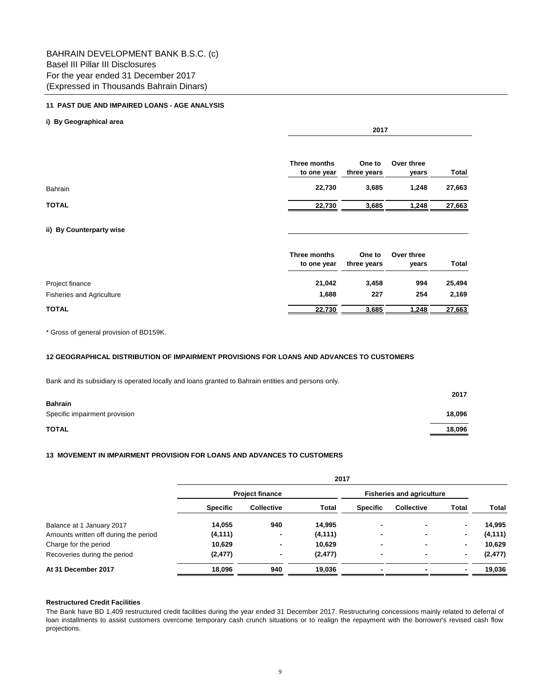#### **11 PAST DUE AND IMPAIRED LOANS - AGE ANALYSIS**

#### **i) By Geographical area** Bahrain **22,730 3,685 1,248 27,663 TOTAL 22,730 3,685 1,248 27,663 ii) By Counterparty wise** Project finance **21,042 3,458 994 25,494**  Fisheries and Agriculture **1,688 227 254 2,169 TOTAL 22,730 3,685 1,248 27,663 Total Over three years Total Three months to one year One to three years Three months to one year One to three years 2017 Over three years**

\* Gross of general provision of BD159K.

#### **12 GEOGRAPHICAL DISTRIBUTION OF IMPAIRMENT PROVISIONS FOR LOANS AND ADVANCES TO CUSTOMERS**

Bank and its subsidiary is operated locally and loans granted to Bahrain entities and persons only.

|                               | 2017   |
|-------------------------------|--------|
| <b>Bahrain</b>                |        |
| Specific impairment provision | 18,096 |
| TOTAL                         | 18,096 |

#### **13 MOVEMENT IN IMPAIRMENT PROVISION FOR LOANS AND ADVANCES TO CUSTOMERS**

|                                       | 2017            |                        |                                  |                 |                   |                |              |
|---------------------------------------|-----------------|------------------------|----------------------------------|-----------------|-------------------|----------------|--------------|
|                                       |                 | <b>Project finance</b> | <b>Fisheries and agriculture</b> |                 |                   |                |              |
|                                       | <b>Specific</b> | <b>Collective</b>      | Total                            | <b>Specific</b> | <b>Collective</b> | Total          | <b>Total</b> |
| Balance at 1 January 2017             | 14,055          | 940                    | 14,995                           | $\blacksquare$  |                   | $\blacksquare$ | 14,995       |
| Amounts written off during the period | (4, 111)        | $\blacksquare$         | (4, 111)                         | $\blacksquare$  |                   | $\blacksquare$ | (4, 111)     |
| Charge for the period                 | 10,629          | $\blacksquare$         | 10,629                           | $\blacksquare$  |                   | ۰              | 10,629       |
| Recoveries during the period          | (2, 477)        | $\blacksquare$         | (2, 477)                         | $\blacksquare$  |                   | ۰              | (2, 477)     |
| At 31 December 2017                   | 18,096          | 940                    | 19,036                           | $\blacksquare$  |                   |                | 19,036       |

#### **Restructured Credit Facilities**

The Bank have BD 1,409 restructured credit facilities during the year ended 31 December 2017. Restructuring concessions mainly related to deferral of loan installments to assist customers overcome temporary cash crunch situations or to realign the repayment with the borrower's revised cash flow projections.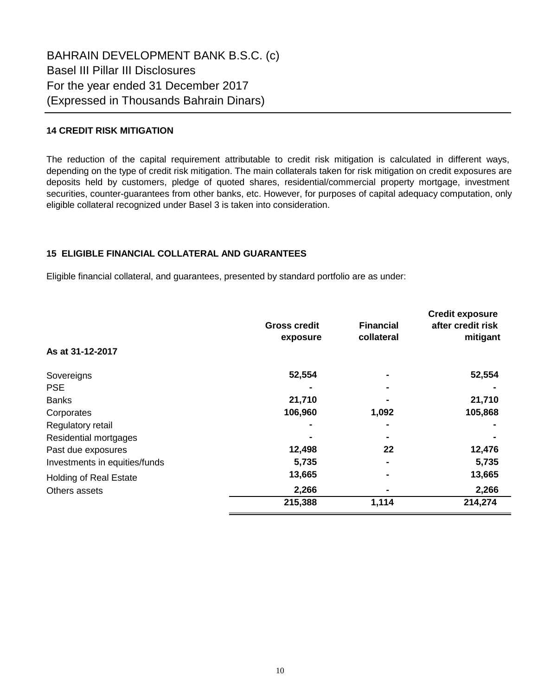## **14 CREDIT RISK MITIGATION**

The reduction of the capital requirement attributable to credit risk mitigation is calculated in different ways, depending on the type of credit risk mitigation. The main collaterals taken for risk mitigation on credit exposures are deposits held by customers, pledge of quoted shares, residential/commercial property mortgage, investment securities, counter-guarantees from other banks, etc. However, for purposes of capital adequacy computation, only eligible collateral recognized under Basel 3 is taken into consideration.

## **15 ELIGIBLE FINANCIAL COLLATERAL AND GUARANTEES**

Eligible financial collateral, and guarantees, presented by standard portfolio are as under:

|                               | <b>Gross credit</b><br>exposure | <b>Financial</b><br>collateral | <b>Credit exposure</b><br>after credit risk<br>mitigant |
|-------------------------------|---------------------------------|--------------------------------|---------------------------------------------------------|
| As at 31-12-2017              |                                 |                                |                                                         |
| Sovereigns                    | 52,554                          |                                | 52,554                                                  |
| <b>PSE</b>                    |                                 |                                |                                                         |
| <b>Banks</b>                  | 21,710                          |                                | 21,710                                                  |
| Corporates                    | 106,960                         | 1,092                          | 105,868                                                 |
| Regulatory retail             |                                 |                                |                                                         |
| Residential mortgages         |                                 |                                |                                                         |
| Past due exposures            | 12,498                          | 22                             | 12,476                                                  |
| Investments in equities/funds | 5,735                           | ۰                              | 5,735                                                   |
| <b>Holding of Real Estate</b> | 13,665                          |                                | 13,665                                                  |
| Others assets                 | 2,266                           |                                | 2,266                                                   |
|                               | 215,388                         | 1,114                          | 214,274                                                 |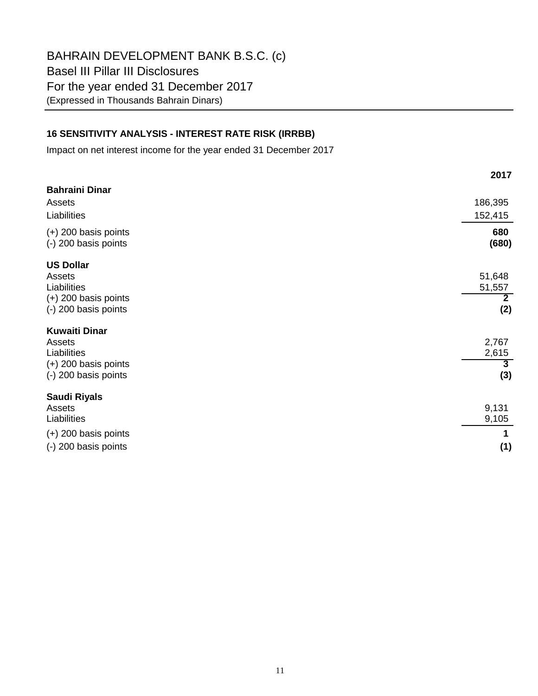BAHRAIN DEVELOPMENT BANK B.S.C. (c) Basel III Pillar III Disclosures For the year ended 31 December 2017 (Expressed in Thousands Bahrain Dinars)

# **16 SENSITIVITY ANALYSIS - INTEREST RATE RISK (IRRBB)**

Impact on net interest income for the year ended 31 December 2017

|                                                | 2017                             |
|------------------------------------------------|----------------------------------|
| <b>Bahraini Dinar</b>                          |                                  |
| Assets                                         | 186,395                          |
| Liabilities                                    | 152,415                          |
| $(+)$ 200 basis points<br>(-) 200 basis points | 680<br>(680)                     |
| <b>US Dollar</b>                               |                                  |
| Assets                                         | 51,648                           |
| Liabilities                                    | 51,557                           |
| $(+)$ 200 basis points<br>(-) 200 basis points | $\mathbf{2}$<br>(2)              |
|                                                |                                  |
| <b>Kuwaiti Dinar</b>                           |                                  |
| Assets                                         | 2,767                            |
| Liabilities<br>$(+)$ 200 basis points          | 2,615<br>$\overline{\mathbf{3}}$ |
| (-) 200 basis points                           | (3)                              |
|                                                |                                  |
| <b>Saudi Riyals</b>                            |                                  |
| Assets                                         | 9,131                            |
| Liabilities                                    | 9,105                            |
| $(+)$ 200 basis points                         |                                  |
| (-) 200 basis points                           | (1)                              |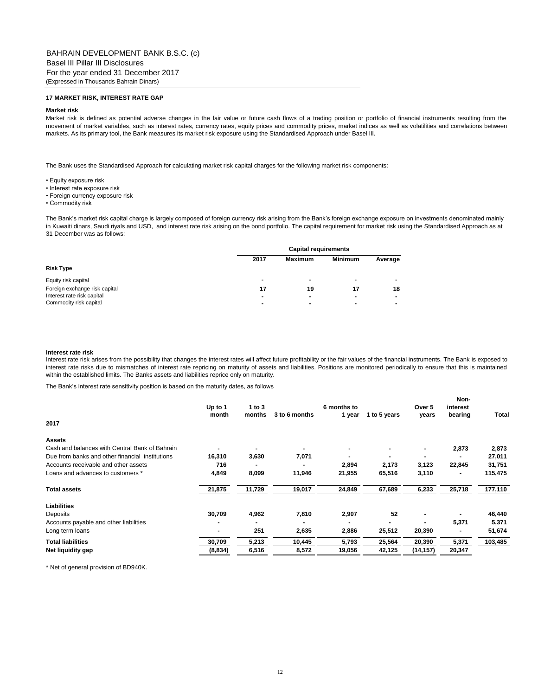#### BAHRAIN DEVELOPMENT BANK B.S.C. (c) Basel III Pillar III Disclosures For the year ended 31 December 2017 (Expressed in Thousands Bahrain Dinars)

#### **17 MARKET RISK, INTEREST RATE GAP**

#### **Market risk**

Market risk is defined as potential adverse changes in the fair value or future cash flows of a trading position or portfolio of financial instruments resulting from the movement of market variables, such as interest rates, currency rates, equity prices and commodity prices, market indices as well as volatilities and correlations between markets. As its primary tool, the Bank measures its market risk exposure using the Standardised Approach under Basel III.

The Bank uses the Standardised Approach for calculating market risk capital charges for the following market risk components:

- Equity exposure risk
- Interest rate exposure risk
- Foreign currency exposure risk
- Commodity risk

The Bank's market risk capital charge is largely composed of foreign currency risk arising from the Bank's foreign exchange exposure on investments denominated mainly in Kuwaiti dinars, Saudi riyals and USD, and interest rate risk arising on the bond portfolio. The capital requirement for market risk using the Standardised Approach as at 31 December was as follows:

|                               |      | <b>Capital requirements</b> |                |         |  |  |
|-------------------------------|------|-----------------------------|----------------|---------|--|--|
|                               | 2017 | <b>Maximum</b>              | <b>Minimum</b> | Average |  |  |
| <b>Risk Type</b>              |      |                             |                |         |  |  |
| Equity risk capital           |      |                             |                |         |  |  |
| Foreign exchange risk capital | 17   | 19                          | 17             | 18      |  |  |
| Interest rate risk capital    |      |                             |                |         |  |  |
| Commodity risk capital        |      |                             |                |         |  |  |

#### **Interest rate risk**

Interest rate risk arises from the possibility that changes the interest rates will affect future profitability or the fair values of the financial instruments. The Bank is exposed to interest rate risks due to mismatches of interest rate repricing on maturity of assets and liabilities. Positions are monitored periodically to ensure that this is maintained within the established limits. The Banks assets and liabilities reprice only on maturity.

The Bank's interest rate sensitivity position is based on the maturity dates, as follows

| 2017                                            | Up to 1<br>month | 1 to $3$<br>months | 3 to 6 months | 6 months to<br>1 year | 1 to 5 years | Over 5<br>vears | Non-<br>interest<br>bearing | Total   |
|-------------------------------------------------|------------------|--------------------|---------------|-----------------------|--------------|-----------------|-----------------------------|---------|
| <b>Assets</b>                                   |                  |                    |               |                       |              |                 |                             |         |
| Cash and balances with Central Bank of Bahrain  |                  |                    |               |                       | ۰.           |                 | 2,873                       | 2,873   |
| Due from banks and other financial institutions | 16,310           | 3,630              | 7,071         |                       |              |                 |                             | 27,011  |
| Accounts receivable and other assets            | 716              |                    |               | 2,894                 | 2,173        | 3,123           | 22,845                      | 31,751  |
| Loans and advances to customers *               | 4,849            | 8,099              | 11,946        | 21,955                | 65,516       | 3,110           | ۰                           | 115,475 |
| <b>Total assets</b>                             | 21,875           | 11,729             | 19,017        | 24,849                | 67,689       | 6,233           | 25,718                      | 177,110 |
| <b>Liabilities</b>                              |                  |                    |               |                       |              |                 |                             |         |
| Deposits                                        | 30,709           | 4,962              | 7,810         | 2,907                 | 52           |                 |                             | 46,440  |
| Accounts payable and other liabilities          |                  |                    |               |                       |              |                 | 5,371                       | 5,371   |
| Long term loans                                 |                  | 251                | 2,635         | 2,886                 | 25,512       | 20,390          |                             | 51,674  |
| <b>Total liabilities</b>                        | 30,709           | 5,213              | 10,445        | 5,793                 | 25,564       | 20,390          | 5,371                       | 103,485 |
| Net liquidity gap                               | (8,834)          | 6,516              | 8,572         | 19,056                | 42,125       | (14, 157)       | 20,347                      |         |

\* Net of general provision of BD940K.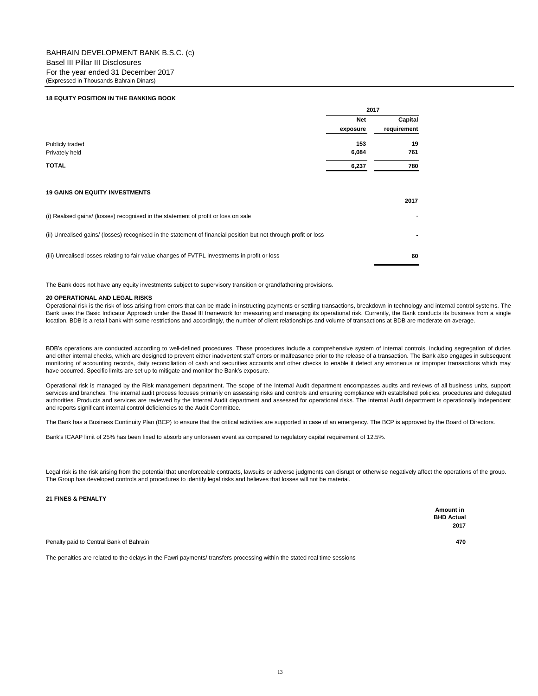#### **18 EQUITY POSITION IN THE BANKING BOOK**

|                                                                                                                  | 2017       |             |
|------------------------------------------------------------------------------------------------------------------|------------|-------------|
|                                                                                                                  | <b>Net</b> | Capital     |
|                                                                                                                  | exposure   | requirement |
| Publicly traded                                                                                                  | 153        | 19          |
| Privately held                                                                                                   | 6,084      | 761         |
| <b>TOTAL</b>                                                                                                     | 6,237      | 780         |
| <b>19 GAINS ON EQUITY INVESTMENTS</b>                                                                            |            | 2017        |
| (i) Realised gains/ (losses) recognised in the statement of profit or loss on sale                               |            |             |
| (ii) Unrealised gains/ (losses) recognised in the statement of financial position but not through profit or loss |            |             |
| (iii) Unrealised losses relating to fair value changes of FVTPL investments in profit or loss                    |            | 60          |

The Bank does not have any equity investments subject to supervisory transition or grandfathering provisions.

#### **20 OPERATIONAL AND LEGAL RISKS**

Operational risk is the risk of loss arising from errors that can be made in instructing payments or settling transactions, breakdown in technology and internal control systems. The Bank uses the Basic Indicator Approach under the Basel III framework for measuring and managing its operational risk. Currently, the Bank conducts its business from a single location. BDB is a retail bank with some restrictions and accordingly, the number of client relationships and volume of transactions at BDB are moderate on average.

BDB's operations are conducted according to well-defined procedures. These procedures include a comprehensive system of internal controls, including segregation of duties and other internal checks, which are designed to prevent either inadvertent staff errors or malfeasance prior to the release of a transaction. The Bank also engages in subsequent monitoring of accounting records, daily reconciliation of cash and securities accounts and other checks to enable it detect any erroneous or improper transactions which may have occurred. Specific limits are set up to mitigate and monitor the Bank's exposure.

Operational risk is managed by the Risk management department. The scope of the Internal Audit department encompasses audits and reviews of all business units, support services and branches. The internal audit process focuses primarily on assessing risks and controls and ensuring compliance with established policies, procedures and delegated authorities. Products and services are reviewed by the Internal Audit department and assessed for operational risks. The Internal Audit department is operationally independent and reports significant internal control deficiencies to the Audit Committee.

The Bank has a Business Continuity Plan (BCP) to ensure that the critical activities are supported in case of an emergency. The BCP is approved by the Board of Directors.

Bank's ICAAP limit of 25% has been fixed to absorb any unforseen event as compared to regulatory capital requirement of 12.5%.

Legal risk is the risk arising from the potential that unenforceable contracts, lawsuits or adverse judgments can disrupt or otherwise negatively affect the operations of the group. The Group has developed controls and procedures to identify legal risks and believes that losses will not be material.

#### **21 FINES & PENALTY**

|                                         | Amount in         |
|-----------------------------------------|-------------------|
|                                         | <b>BHD Actual</b> |
|                                         | 2017              |
|                                         |                   |
| Penalty paid to Central Bank of Bahrain | 470               |

The penalties are related to the delays in the Fawri payments/ transfers processing within the stated real time sessions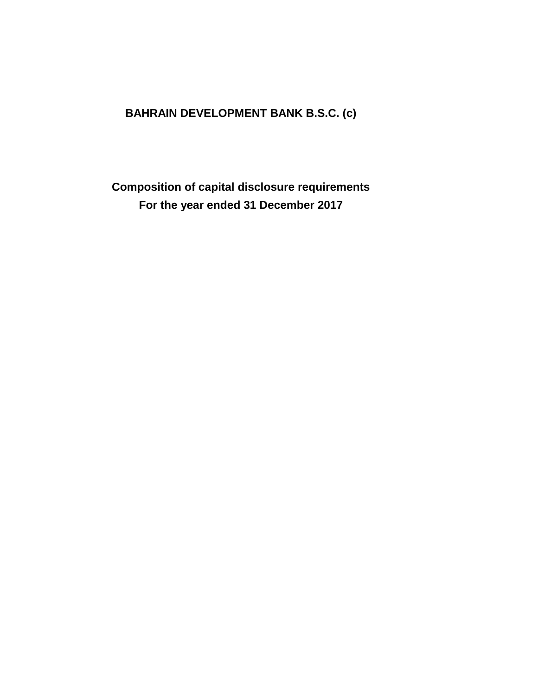# **BAHRAIN DEVELOPMENT BANK B.S.C. (c)**

**Composition of capital disclosure requirements For the year ended 31 December 2017**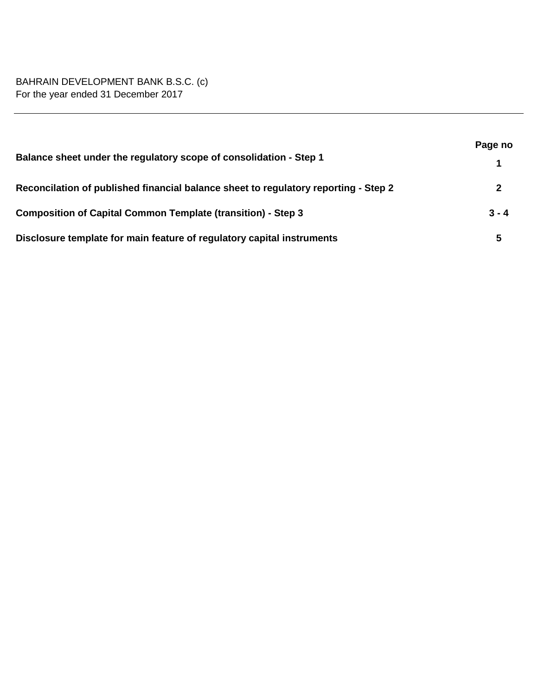# BAHRAIN DEVELOPMENT BANK B.S.C. (c) For the year ended 31 December 2017

|                                                                                     | Page no |
|-------------------------------------------------------------------------------------|---------|
| Balance sheet under the regulatory scope of consolidation - Step 1                  |         |
| Reconcilation of published financial balance sheet to regulatory reporting - Step 2 | 2       |
| <b>Composition of Capital Common Template (transition) - Step 3</b>                 | $3 - 4$ |
| Disclosure template for main feature of regulatory capital instruments              | 5       |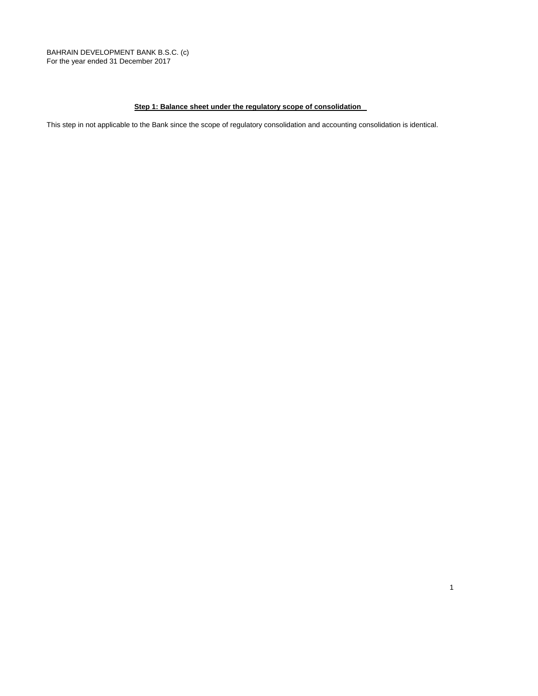BAHRAIN DEVELOPMENT BANK B.S.C. (c) For the year ended 31 December 2017

## **Step 1: Balance sheet under the regulatory scope of consolidation**

This step in not applicable to the Bank since the scope of regulatory consolidation and accounting consolidation is identical.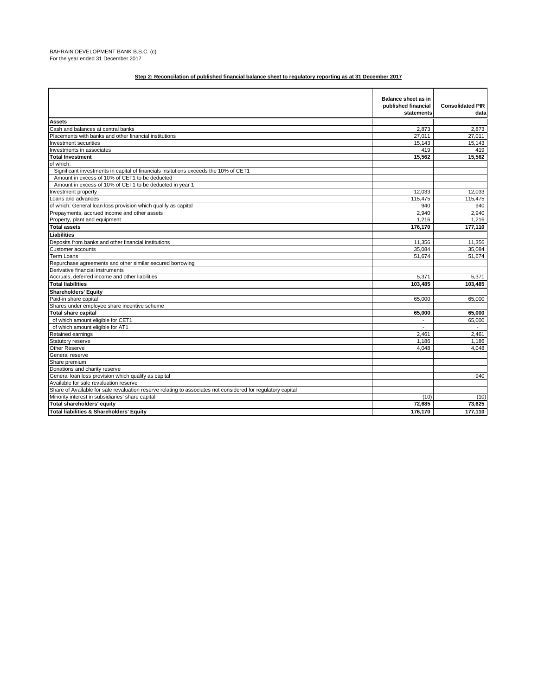|                                                                                                              | <b>Balance sheet as in</b><br>published financial<br>statements | <b>Consolidated PIR</b><br>data |
|--------------------------------------------------------------------------------------------------------------|-----------------------------------------------------------------|---------------------------------|
| <b>Assets</b>                                                                                                |                                                                 |                                 |
| Cash and balances at central banks                                                                           | 2.873                                                           | 2.873                           |
| Placements with banks and other financial institutions                                                       | 27.011                                                          | 27.011                          |
| Investment securities                                                                                        | 15,143                                                          | 15,143                          |
| Investments in associates                                                                                    | 419                                                             | 419                             |
| <b>Total Investment</b>                                                                                      | 15,562                                                          | 15,562                          |
| of which:                                                                                                    |                                                                 |                                 |
| Significant investments in capital of financials insitutions exceeds the 10% of CET1                         |                                                                 |                                 |
| Amount in excess of 10% of CET1 to be deducted                                                               |                                                                 |                                 |
| Amount in excess of 10% of CET1 to be deducted in year 1                                                     |                                                                 |                                 |
| Investment property                                                                                          | 12,033                                                          | 12,033                          |
| Loans and advances                                                                                           | 115,475                                                         | 115,475                         |
| of which: General loan loss provision which qualify as capital                                               | 940                                                             | 940                             |
| Prepayments, accrued income and other assets                                                                 | 2,940                                                           | 2.940                           |
| Property, plant and equipment                                                                                | 1,216                                                           | 1,216                           |
| <b>Total assets</b>                                                                                          | 176.170                                                         | 177.110                         |
| Liabilities                                                                                                  |                                                                 |                                 |
| Deposits from banks and other financial institutions                                                         | 11,356                                                          | 11,356                          |
| <b>Customer accounts</b>                                                                                     | 35,084                                                          | 35,084                          |
| <b>Term Loans</b>                                                                                            | 51,674                                                          | 51,674                          |
| Repurchase agreements and other similar secured borrowing                                                    |                                                                 |                                 |
| Derivative financial instruments                                                                             |                                                                 |                                 |
| Accruals, deferred income and other liabilities                                                              | 5,371                                                           | 5,371                           |
| <b>Total liabilities</b>                                                                                     | 103.485                                                         | 103.485                         |
| <b>Shareholders' Equity</b>                                                                                  |                                                                 |                                 |
| Paid-in share capital                                                                                        | 65,000                                                          | 65,000                          |
| Shares under employee share incentive scheme                                                                 |                                                                 |                                 |
| <b>Total share capital</b>                                                                                   | 65,000                                                          | 65,000                          |
| of which amount eligible for CET1                                                                            |                                                                 | 65,000                          |
| of which amount eligible for AT1                                                                             |                                                                 | $\sim$                          |
| Retained earnings                                                                                            | 2.461                                                           | 2,461                           |
| Statutory reserve                                                                                            | 1,186                                                           | 1,186                           |
| Other Reserve                                                                                                | 4,048                                                           | 4,048                           |
| General reserve                                                                                              |                                                                 |                                 |
| Share premium                                                                                                |                                                                 |                                 |
| Donations and charity reserve                                                                                |                                                                 |                                 |
| General loan loss provision which qualify as capital                                                         |                                                                 | 940                             |
| Available for sale revaluation reserve                                                                       |                                                                 |                                 |
| Share of Available for sale revaluation reserve relating to associates not considered for regulatory capital |                                                                 |                                 |
| Minority interest in subsidiaries' share capital                                                             | (10)                                                            | (10)                            |
| Total shareholders' equity                                                                                   | 72.685                                                          | 73.625                          |
| Total liabilities & Shareholders' Equity                                                                     | 176,170                                                         | 177,110                         |
|                                                                                                              |                                                                 |                                 |

#### **Step 2: Reconcilation of published financial balance sheet to regulatory reporting as at 31 December 2017**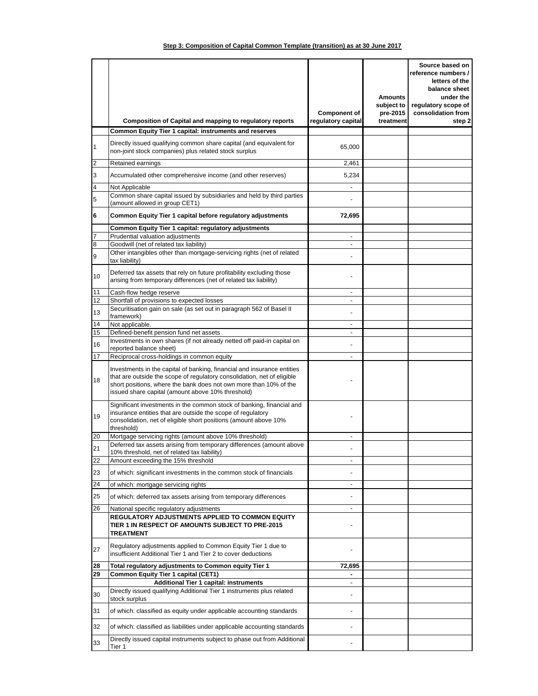|  |  | Step 3: Composition of Capital Common Template (transition) as at 30 June 2017 |  |  |  |  |  |  |
|--|--|--------------------------------------------------------------------------------|--|--|--|--|--|--|
|--|--|--------------------------------------------------------------------------------|--|--|--|--|--|--|

|    |                                                                                                                                                                                                                                                                              | <b>Component of</b>      | Amounts<br>subject to<br>pre-2015 | Source based on<br>reference numbers /<br>letters of the<br>balance sheet<br>under the<br>regulatory scope of<br>consolidation from |
|----|------------------------------------------------------------------------------------------------------------------------------------------------------------------------------------------------------------------------------------------------------------------------------|--------------------------|-----------------------------------|-------------------------------------------------------------------------------------------------------------------------------------|
|    | <b>Composition of Capital and mapping to regulatory reports</b><br>Common Equity Tier 1 capital: instruments and reserves                                                                                                                                                    | regulatory capital       | treatment                         | step 2                                                                                                                              |
|    |                                                                                                                                                                                                                                                                              |                          |                                   |                                                                                                                                     |
|    | Directly issued qualifying common share capital (and equivalent for<br>non-joint stock companies) plus related stock surplus                                                                                                                                                 | 65,000                   |                                   |                                                                                                                                     |
| 2  | Retained earnings                                                                                                                                                                                                                                                            | 2,461                    |                                   |                                                                                                                                     |
| 3  | Accumulated other comprehensive income (and other reserves)                                                                                                                                                                                                                  | 5,234                    |                                   |                                                                                                                                     |
| 4  | Not Applicable                                                                                                                                                                                                                                                               |                          |                                   |                                                                                                                                     |
| 5  | Common share capital issued by subsidiaries and held by third parties<br>(amount allowed in group CET1)                                                                                                                                                                      |                          |                                   |                                                                                                                                     |
| 6  | Common Equity Tier 1 capital before regulatory adjustments                                                                                                                                                                                                                   | 72,695                   |                                   |                                                                                                                                     |
|    | Common Equity Tier 1 capital: regulatory adjustments<br>Prudential valuation adjustments                                                                                                                                                                                     | ÷,                       |                                   |                                                                                                                                     |
| 8  | Goodwill (net of related tax liability)                                                                                                                                                                                                                                      |                          |                                   |                                                                                                                                     |
| 9  | Other intangibles other than mortgage-servicing rights (net of related                                                                                                                                                                                                       |                          |                                   |                                                                                                                                     |
| 10 | tax liability)<br>Deferred tax assets that rely on future profitability excluding those<br>arising from temporary differences (net of related tax liability)                                                                                                                 |                          |                                   |                                                                                                                                     |
| 11 | Cash-flow hedge reserve                                                                                                                                                                                                                                                      |                          |                                   |                                                                                                                                     |
| 12 | Shortfall of provisions to expected losses                                                                                                                                                                                                                                   | $\overline{\phantom{a}}$ |                                   |                                                                                                                                     |
| 13 | Securitisation gain on sale (as set out in paragraph 562 of Basel II<br>framework)                                                                                                                                                                                           | ٠                        |                                   |                                                                                                                                     |
| 14 | Not applicable.                                                                                                                                                                                                                                                              | ٠                        |                                   |                                                                                                                                     |
| 15 | Defined-benefit pension fund net assets<br>Investments in own shares (if not already netted off paid-in capital on                                                                                                                                                           | $\blacksquare$           |                                   |                                                                                                                                     |
| 16 | reported balance sheet)                                                                                                                                                                                                                                                      |                          |                                   |                                                                                                                                     |
| 17 | Reciprocal cross-holdings in common equity                                                                                                                                                                                                                                   | ٠                        |                                   |                                                                                                                                     |
| 18 | Investments in the capital of banking, financial and insurance entities<br>that are outside the scope of regulatory consolidation, net of eligible<br>short positions, where the bank does not own more than 10% of the<br>issued share capital (amount above 10% threshold) |                          |                                   |                                                                                                                                     |
| 19 | Significant investments in the common stock of banking, financial and<br>insurance entities that are outside the scope of regulatory<br>consolidation, net of eligible short positions (amount above 10%<br>threshold)                                                       |                          |                                   |                                                                                                                                     |
| 20 | Mortgage servicing rights (amount above 10% threshold)                                                                                                                                                                                                                       |                          |                                   |                                                                                                                                     |
| 21 | Deferred tax assets arising from temporary differences (amount above<br>10% threshold, net of related tax liability)                                                                                                                                                         |                          |                                   |                                                                                                                                     |
| 22 | Amount exceeding the 15% threshold                                                                                                                                                                                                                                           |                          |                                   |                                                                                                                                     |
| 23 | of which: significant investments in the common stock of financials                                                                                                                                                                                                          |                          |                                   |                                                                                                                                     |
| 24 | of which: mortgage servicing rights                                                                                                                                                                                                                                          |                          |                                   |                                                                                                                                     |
| 25 | of which: deferred tax assets arising from temporary differences                                                                                                                                                                                                             |                          |                                   |                                                                                                                                     |
| 26 | National specific regulatory adjustments                                                                                                                                                                                                                                     |                          |                                   |                                                                                                                                     |
|    | REGULATORY ADJUSTMENTS APPLIED TO COMMON EQUITY<br>TIER 1 IN RESPECT OF AMOUNTS SUBJECT TO PRE-2015<br><b>TREATMENT</b>                                                                                                                                                      |                          |                                   |                                                                                                                                     |
| 27 | Regulatory adjustments applied to Common Equity Tier 1 due to<br>insufficient Additional Tier 1 and Tier 2 to cover deductions                                                                                                                                               |                          |                                   |                                                                                                                                     |
| 28 | Total regulatory adjustments to Common equity Tier 1                                                                                                                                                                                                                         | 72,695                   |                                   |                                                                                                                                     |
| 29 | <b>Common Equity Tier 1 capital (CET1)</b><br><b>Additional Tier 1 capital: instruments</b>                                                                                                                                                                                  |                          |                                   |                                                                                                                                     |
| 30 | Directly issued qualifying Additional Tier 1 instruments plus related<br>stock surplus                                                                                                                                                                                       | ÷,                       |                                   |                                                                                                                                     |
| 31 | of which: classified as equity under applicable accounting standards                                                                                                                                                                                                         |                          |                                   |                                                                                                                                     |
| 32 | of which: classified as liabilities under applicable accounting standards                                                                                                                                                                                                    |                          |                                   |                                                                                                                                     |
| 33 | Directly issued capital instruments subject to phase out from Additional<br>Tier 1                                                                                                                                                                                           |                          |                                   |                                                                                                                                     |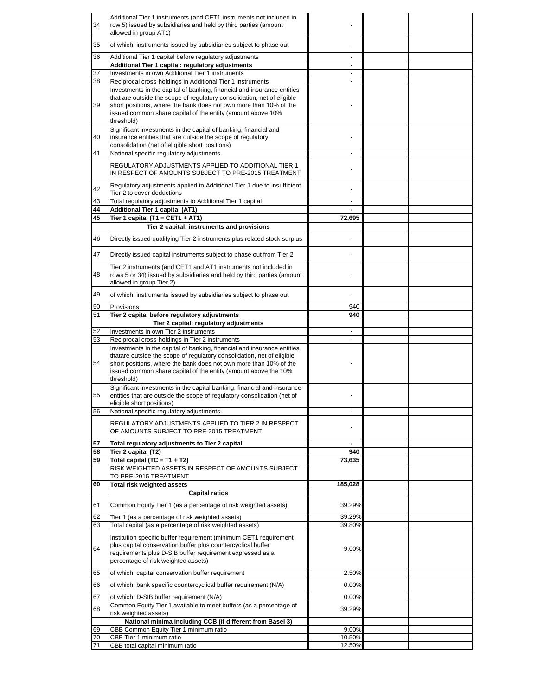| 34       | Additional Tier 1 instruments (and CET1 instruments not included in<br>row 5) issued by subsidiaries and held by third parties (amount |                               |  |
|----------|----------------------------------------------------------------------------------------------------------------------------------------|-------------------------------|--|
|          | allowed in group AT1)                                                                                                                  |                               |  |
| 35       | of which: instruments issued by subsidiaries subject to phase out                                                                      |                               |  |
|          |                                                                                                                                        |                               |  |
| 36       | Additional Tier 1 capital before regulatory adjustments                                                                                |                               |  |
| 37       | Additional Tier 1 capital: regulatory adjustments<br>Investments in own Additional Tier 1 instruments                                  | ٠<br>$\overline{\phantom{a}}$ |  |
| 38       | Reciprocal cross-holdings in Additional Tier 1 instruments                                                                             | $\blacksquare$                |  |
|          | Investments in the capital of banking, financial and insurance entities                                                                |                               |  |
|          | that are outside the scope of regulatory consolidation, net of eligible                                                                |                               |  |
| 39       | short positions, where the bank does not own more than 10% of the                                                                      |                               |  |
|          | issued common share capital of the entity (amount above 10%                                                                            |                               |  |
|          | threshold)<br>Significant investments in the capital of banking, financial and                                                         |                               |  |
| 40       | insurance entities that are outside the scope of regulatory                                                                            |                               |  |
|          | consolidation (net of eligible short positions)                                                                                        |                               |  |
| 41       | National specific regulatory adjustments                                                                                               |                               |  |
|          | REGULATORY ADJUSTMENTS APPLIED TO ADDITIONAL TIER 1                                                                                    |                               |  |
|          | IN RESPECT OF AMOUNTS SUBJECT TO PRE-2015 TREATMENT                                                                                    |                               |  |
|          |                                                                                                                                        |                               |  |
| 42       | Regulatory adjustments applied to Additional Tier 1 due to insufficient<br>Tier 2 to cover deductions                                  |                               |  |
| 43       | Total regulatory adjustments to Additional Tier 1 capital                                                                              | $\overline{\phantom{a}}$      |  |
| 44       | Additional Tier 1 capital (AT1)                                                                                                        |                               |  |
| 45       | Tier 1 capital (T1 = CET1 + AT1)                                                                                                       | 72,695                        |  |
|          | Tier 2 capital: instruments and provisions                                                                                             |                               |  |
| 46       | Directly issued qualifying Tier 2 instruments plus related stock surplus                                                               |                               |  |
|          |                                                                                                                                        |                               |  |
| 47       | Directly issued capital instruments subject to phase out from Tier 2                                                                   |                               |  |
|          | Tier 2 instruments (and CET1 and AT1 instruments not included in                                                                       |                               |  |
| 48       | rows 5 or 34) issued by subsidiaries and held by third parties (amount                                                                 |                               |  |
|          | allowed in group Tier 2)                                                                                                               |                               |  |
| 49       | of which: instruments issued by subsidiaries subject to phase out                                                                      |                               |  |
|          |                                                                                                                                        |                               |  |
| 50       | Provisions                                                                                                                             | 940<br>940                    |  |
| 51       | Tier 2 capital before regulatory adjustments<br>Tier 2 capital: regulatory adjustments                                                 |                               |  |
|          |                                                                                                                                        |                               |  |
|          |                                                                                                                                        | $\blacksquare$                |  |
| 52<br>53 | Investments in own Tier 2 instruments                                                                                                  | ÷.                            |  |
|          | Reciprocal cross-holdings in Tier 2 instruments<br>Investments in the capital of banking, financial and insurance entities             |                               |  |
|          | thatare outside the scope of regulatory consolidation, net of eligible                                                                 |                               |  |
| 54       | short positions, where the bank does not own more than 10% of the                                                                      |                               |  |
|          | issued common share capital of the entity (amount above the 10%                                                                        |                               |  |
|          | threshold)                                                                                                                             |                               |  |
| 55       | Significant investments in the capital banking, financial and insurance                                                                |                               |  |
|          | entities that are outside the scope of regulatory consolidation (net of<br>eligible short positions)                                   |                               |  |
| 56       | National specific regulatory adjustments                                                                                               |                               |  |
|          |                                                                                                                                        |                               |  |
|          | REGULATORY ADJUSTMENTS APPLIED TO TIER 2 IN RESPECT<br>OF AMOUNTS SUBJECT TO PRE-2015 TREATMENT                                        |                               |  |
|          |                                                                                                                                        |                               |  |
| 57       | Total regulatory adjustments to Tier 2 capital                                                                                         |                               |  |
| 58<br>59 | Tier 2 capital (T2)<br>Total capital (TC = $T1 + T2$ )                                                                                 | 940<br>73,635                 |  |
|          | RISK WEIGHTED ASSETS IN RESPECT OF AMOUNTS SUBJECT                                                                                     |                               |  |
|          | TO PRE-2015 TREATMENT                                                                                                                  |                               |  |
| 60       | <b>Total risk weighted assets</b>                                                                                                      | 185,028                       |  |
|          | <b>Capital ratios</b>                                                                                                                  |                               |  |
| 61       | Common Equity Tier 1 (as a percentage of risk weighted assets)                                                                         | 39.29%                        |  |
|          |                                                                                                                                        |                               |  |
| 62<br>63 | Tier 1 (as a percentage of risk weighted assets)<br>Total capital (as a percentage of risk weighted assets)                            | 39.29%<br>39.80%              |  |
|          |                                                                                                                                        |                               |  |
|          | Institution specific buffer requirement (minimum CET1 requirement                                                                      |                               |  |
| 64       | plus capital conservation buffer plus countercyclical buffer<br>requirements plus D-SIB buffer requirement expressed as a              | 9.00%                         |  |
|          | percentage of risk weighted assets)                                                                                                    |                               |  |
|          |                                                                                                                                        |                               |  |
| 65       | of which: capital conservation buffer requirement                                                                                      | 2.50%                         |  |
| 66       | of which: bank specific countercyclical buffer requirement (N/A)                                                                       | 0.00%                         |  |
| 67       | of which: D-SIB buffer requirement (N/A)                                                                                               | 0.00%                         |  |
| 68       | Common Equity Tier 1 available to meet buffers (as a percentage of                                                                     | 39.29%                        |  |
|          | risk weighted assets)                                                                                                                  |                               |  |
| 69       | National minima including CCB (if different from Basel 3)                                                                              | 9.00%                         |  |
| 70       | CBB Common Equity Tier 1 minimum ratio<br>CBB Tier 1 minimum ratio                                                                     | 10.50%                        |  |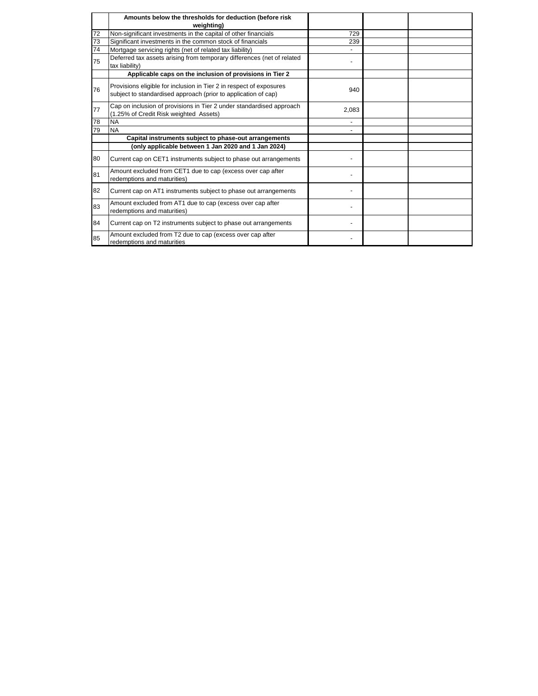|    | Amounts below the thresholds for deduction (before risk<br>weighting)                                                                 |       |  |
|----|---------------------------------------------------------------------------------------------------------------------------------------|-------|--|
| 72 | Non-significant investments in the capital of other financials                                                                        | 729   |  |
| 73 | Significant investments in the common stock of financials                                                                             | 239   |  |
| 74 | Mortgage servicing rights (net of related tax liability)                                                                              |       |  |
| 75 | Deferred tax assets arising from temporary differences (net of related<br>tax liability)                                              |       |  |
|    | Applicable caps on the inclusion of provisions in Tier 2                                                                              |       |  |
| 76 | Provisions eligible for inclusion in Tier 2 in respect of exposures<br>subject to standardised approach (prior to application of cap) | 940   |  |
| 77 | Cap on inclusion of provisions in Tier 2 under standardised approach<br>(1.25% of Credit Risk weighted Assets)                        | 2,083 |  |
| 78 | <b>NA</b>                                                                                                                             |       |  |
| 79 | <b>NA</b>                                                                                                                             |       |  |
|    | Capital instruments subject to phase-out arrangements                                                                                 |       |  |
|    | (only applicable between 1 Jan 2020 and 1 Jan 2024)                                                                                   |       |  |
| 80 | Current cap on CET1 instruments subject to phase out arrangements                                                                     |       |  |
| 81 | Amount excluded from CET1 due to cap (excess over cap after<br>redemptions and maturities)                                            |       |  |
| 82 | Current cap on AT1 instruments subject to phase out arrangements                                                                      |       |  |
| 83 | Amount excluded from AT1 due to cap (excess over cap after<br>redemptions and maturities)                                             |       |  |
| 84 | Current cap on T2 instruments subject to phase out arrangements                                                                       |       |  |
| 85 | Amount excluded from T2 due to cap (excess over cap after<br>redemptions and maturities                                               |       |  |